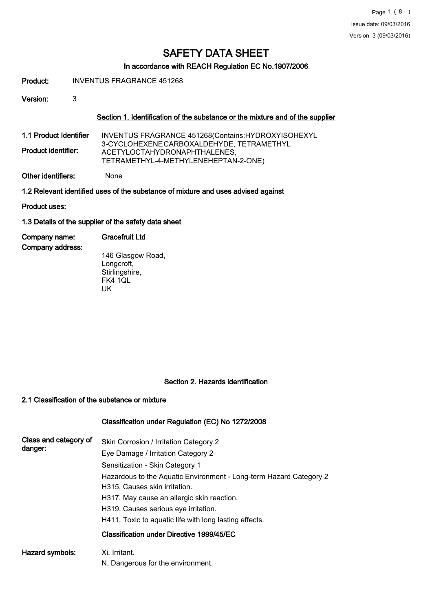# In accordance with REACH Regulation EC No.1907/2006

Product: INVENTUS FRAGRANCE 451268

Version: 3

#### Section 1. Identification of the substance or the mixture and of the supplier

1.1 Product Identifier Product identifier: INVENTUS FRAGRANCE 451268(Contains:HYDROXYISOHEXYL 3-CYCLOHEXENECARBOXALDEHYDE, TETRAMETHYL ACETYLOCTAHYDRONAPHTHALENES, TETRAMETHYL-4-METHYLENEHEPTAN-2-ONE)

Other identifiers: None

1.2 Relevant identified uses of the substance of mixture and uses advised against

Product uses:

#### 1.3 Details of the supplier of the safety data sheet

| Company name:    | <b>Gracefruit Ltd</b> |  |
|------------------|-----------------------|--|
| Company address: |                       |  |
|                  | .                     |  |

146 Glasgow Road, Longcroft, Stirlingshire, FK4 1QL UK

#### Section 2. Hazards identification

#### 2.1 Classification of the substance or mixture

## Classification under Regulation (EC) No 1272/2008

| Class and category of | Skin Corrosion / Irritation Category 2                             |
|-----------------------|--------------------------------------------------------------------|
| danger:               | Eye Damage / Irritation Category 2                                 |
|                       | Sensitization - Skin Category 1                                    |
|                       | Hazardous to the Aquatic Environment - Long-term Hazard Category 2 |
|                       | H315, Causes skin irritation.                                      |
|                       | H317, May cause an allergic skin reaction.                         |
|                       | H319, Causes serious eye irritation.                               |
|                       | H411, Toxic to aguatic life with long lasting effects.             |
|                       | Classification under Directive 1999/45/EC                          |
| Hazard symbols:       | Xi, Irritant.                                                      |
|                       | N, Dangerous for the environment.                                  |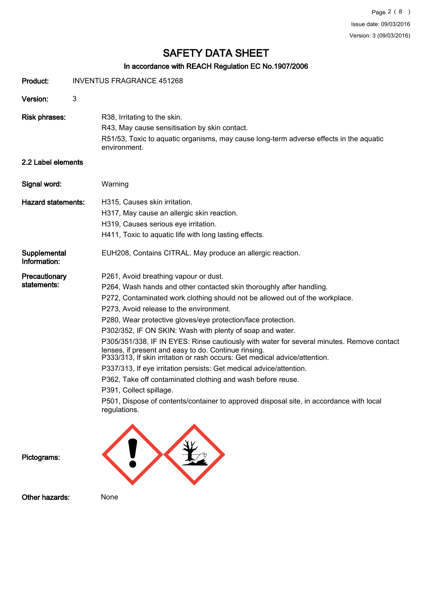# In accordance with REACH Regulation EC No.1907/2006

| Product:                     | <b>INVENTUS FRAGRANCE 451268</b>                                                                                                                                                                                                                                                                                                                                                                                                                                                                                                                                                                                                                                                                                                                                                                                                                                                     |
|------------------------------|--------------------------------------------------------------------------------------------------------------------------------------------------------------------------------------------------------------------------------------------------------------------------------------------------------------------------------------------------------------------------------------------------------------------------------------------------------------------------------------------------------------------------------------------------------------------------------------------------------------------------------------------------------------------------------------------------------------------------------------------------------------------------------------------------------------------------------------------------------------------------------------|
| Version:                     | 3                                                                                                                                                                                                                                                                                                                                                                                                                                                                                                                                                                                                                                                                                                                                                                                                                                                                                    |
| <b>Risk phrases:</b>         | R38, Irritating to the skin.<br>R43, May cause sensitisation by skin contact.<br>R51/53, Toxic to aquatic organisms, may cause long-term adverse effects in the aquatic<br>environment.                                                                                                                                                                                                                                                                                                                                                                                                                                                                                                                                                                                                                                                                                              |
| 2.2 Label elements           |                                                                                                                                                                                                                                                                                                                                                                                                                                                                                                                                                                                                                                                                                                                                                                                                                                                                                      |
| Signal word:                 | Warning                                                                                                                                                                                                                                                                                                                                                                                                                                                                                                                                                                                                                                                                                                                                                                                                                                                                              |
| <b>Hazard statements:</b>    | H315, Causes skin irritation.<br>H317, May cause an allergic skin reaction.<br>H319, Causes serious eye irritation.<br>H411, Toxic to aquatic life with long lasting effects.                                                                                                                                                                                                                                                                                                                                                                                                                                                                                                                                                                                                                                                                                                        |
| Supplemental<br>Information: | EUH208, Contains CITRAL. May produce an allergic reaction.                                                                                                                                                                                                                                                                                                                                                                                                                                                                                                                                                                                                                                                                                                                                                                                                                           |
| Precautionary<br>statements: | P261, Avoid breathing vapour or dust.<br>P264, Wash hands and other contacted skin thoroughly after handling.<br>P272, Contaminated work clothing should not be allowed out of the workplace.<br>P273, Avoid release to the environment.<br>P280, Wear protective gloves/eye protection/face protection.<br>P302/352, IF ON SKIN: Wash with plenty of soap and water.<br>P305/351/338, IF IN EYES: Rinse cautiously with water for several minutes. Remove contact<br>lenses, if present and easy to do. Continue rinsing.<br>P333/313, If skin irritation or rash occurs: Get medical advice/attention.<br>P337/313, If eye irritation persists: Get medical advice/attention.<br>P362, Take off contaminated clothing and wash before reuse.<br>P391, Collect spillage.<br>P501, Dispose of contents/container to approved disposal site, in accordance with local<br>regulations. |
|                              |                                                                                                                                                                                                                                                                                                                                                                                                                                                                                                                                                                                                                                                                                                                                                                                                                                                                                      |

Pictograms:



Other hazards: None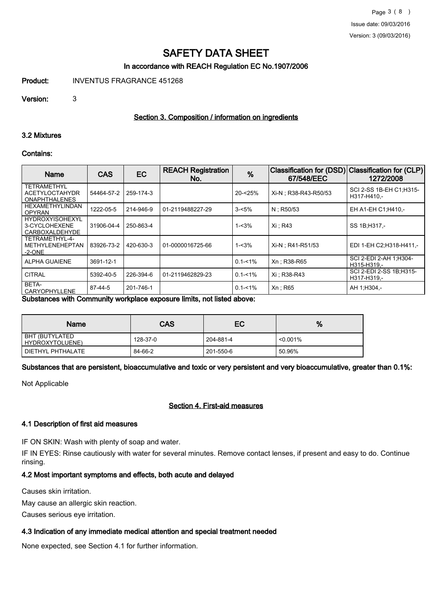## In accordance with REACH Regulation EC No.1907/2006

Product: INVENTUS FRAGRANCE 451268

Version: 3

#### Section 3. Composition / information on ingredients

#### 3.2 Mixtures

#### Contains:

| Name                                                                | <b>CAS</b> | EC        | <b>REACH Registration</b><br>No. | %           | <b>Classification for (DSD)</b><br>67/548/EEC | <b>Classification for (CLP)</b><br>1272/2008 |
|---------------------------------------------------------------------|------------|-----------|----------------------------------|-------------|-----------------------------------------------|----------------------------------------------|
| <b>TETRAMETHYL</b><br><b>ACETYLOCTAHYDR</b><br><b>ONAPHTHALENES</b> | 54464-57-2 | 259-174-3 |                                  | 20-<25%     | Xi-N; R38-R43-R50/53                          | SCI 2-SS 1B-EH C1:H315-<br>H317-H410.-       |
| HEXAMETHYLINDAN<br><b>OPYRAN</b>                                    | 1222-05-5  | 214-946-9 | 01-2119488227-29                 | $3 - 5%$    | $N$ ; R50/53                                  | EH A1-EH C1; H410,-                          |
| <b>HYDROXYISOHEXYL</b><br>3-CYCLOHEXENE<br><b>CARBOXALDEHYDE</b>    | 31906-04-4 | 250-863-4 |                                  | 1-<3%       | Xi: R43                                       | SS 1B:H317.-                                 |
| TETRAMETHYL-4-<br><b>METHYLENEHEPTAN</b><br>$-2$ -ONE               | 83926-73-2 | 420-630-3 | 01-0000016725-66                 | 1-<3%       | Xi-N: R41-R51/53                              | EDI 1-EH C2:H318-H411.-                      |
| <b>ALPHA GUAIENE</b>                                                | 3691-12-1  |           |                                  | $0.1 - 1\%$ | Xn: R38-R65                                   | SCI 2-EDI 2-AH 1;H304-<br>H315-H319,-        |
| <b>CITRAL</b>                                                       | 5392-40-5  | 226-394-6 | 01-2119462829-23                 | $0.1 - 1\%$ | Xi : R38-R43                                  | SCI 2-EDI 2-SS 1B:H315-<br>H317-H319.-       |
| BETA-<br>CARYOPHYLLENE                                              | 87-44-5    | 201-746-1 |                                  | $0.1 - 1\%$ | Xn : R65                                      | AH 1:H304,-                                  |

Substances with Community workplace exposure limits, not listed above:

| Name                              | CAS      | EC        | %           |
|-----------------------------------|----------|-----------|-------------|
| BHT (BUTYLATED<br>HYDROXYTOLUENE) | 128-37-0 | 204-881-4 | $< 0.001\%$ |
| DIETHYL PHTHALATE                 | 84-66-2  | 201-550-6 | 50.96%      |

Substances that are persistent, bioaccumulative and toxic or very persistent and very bioaccumulative, greater than 0.1%:

Not Applicable

#### Section 4. First-aid measures

### 4.1 Description of first aid measures

IF ON SKIN: Wash with plenty of soap and water.

IF IN EYES: Rinse cautiously with water for several minutes. Remove contact lenses, if present and easy to do. Continue rinsing.

#### 4.2 Most important symptoms and effects, both acute and delayed

Causes skin irritation.

May cause an allergic skin reaction.

Causes serious eye irritation.

#### 4.3 Indication of any immediate medical attention and special treatment needed

None expected, see Section 4.1 for further information.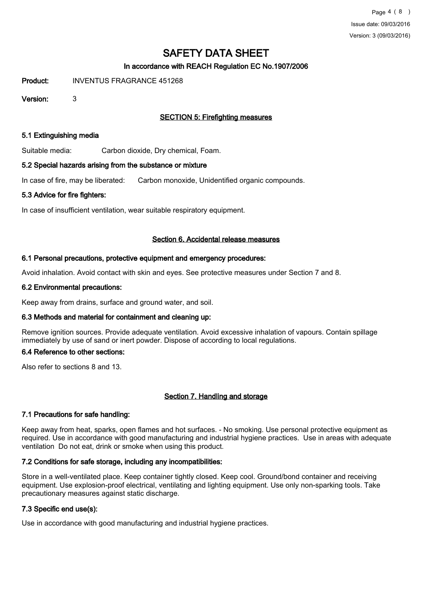# In accordance with REACH Regulation EC No.1907/2006

Product: INVENTUS FRAGRANCE 451268

Version: 3

# SECTION 5: Firefighting measures

#### 5.1 Extinguishing media

Suitable media: Carbon dioxide, Dry chemical, Foam.

#### 5.2 Special hazards arising from the substance or mixture

In case of fire, may be liberated: Carbon monoxide, Unidentified organic compounds.

#### 5.3 Advice for fire fighters:

In case of insufficient ventilation, wear suitable respiratory equipment.

#### Section 6. Accidental release measures

#### 6.1 Personal precautions, protective equipment and emergency procedures:

Avoid inhalation. Avoid contact with skin and eyes. See protective measures under Section 7 and 8.

#### 6.2 Environmental precautions:

Keep away from drains, surface and ground water, and soil.

## 6.3 Methods and material for containment and cleaning up:

Remove ignition sources. Provide adequate ventilation. Avoid excessive inhalation of vapours. Contain spillage immediately by use of sand or inert powder. Dispose of according to local regulations.

#### 6.4 Reference to other sections:

Also refer to sections 8 and 13.

## Section 7. Handling and storage

## 7.1 Precautions for safe handling:

Keep away from heat, sparks, open flames and hot surfaces. - No smoking. Use personal protective equipment as required. Use in accordance with good manufacturing and industrial hygiene practices. Use in areas with adequate ventilation Do not eat, drink or smoke when using this product.

## 7.2 Conditions for safe storage, including any incompatibilities:

Store in a well-ventilated place. Keep container tightly closed. Keep cool. Ground/bond container and receiving equipment. Use explosion-proof electrical, ventilating and lighting equipment. Use only non-sparking tools. Take precautionary measures against static discharge.

#### 7.3 Specific end use(s):

Use in accordance with good manufacturing and industrial hygiene practices.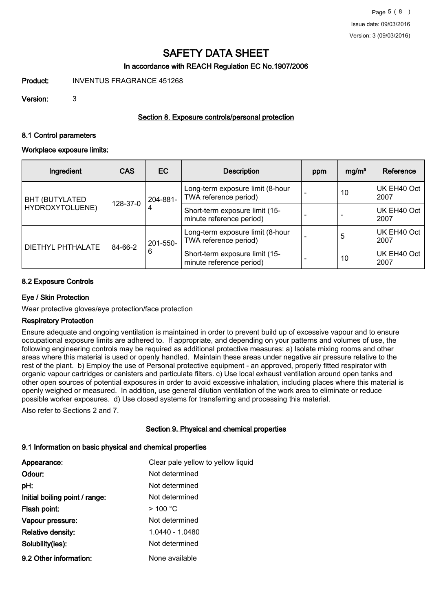# In accordance with REACH Regulation EC No.1907/2006

Product: INVENTUS FRAGRANCE 451268

Version: 3

## Section 8. Exposure controls/personal protection

#### 8.1 Control parameters

#### Workplace exposure limits:

| Ingredient                               | <b>CAS</b> | EC.                                                             | <b>Description</b>                                         | ppm                 | mg/m <sup>3</sup> | Reference           |
|------------------------------------------|------------|-----------------------------------------------------------------|------------------------------------------------------------|---------------------|-------------------|---------------------|
| <b>BHT (BUTYLATED</b><br>HYDROXYTOLUENE) | 128-37-0   | 204-881-<br>4                                                   | Long-term exposure limit (8-hour<br>TWA reference period)  |                     | 10                | UK EH40 Oct<br>2007 |
|                                          |            |                                                                 | Short-term exposure limit (15-<br>minute reference period) |                     |                   | UK EH40 Oct<br>2007 |
| <b>DIETHYL PHTHALATE</b>                 | 84-66-2    | 201-550-                                                        | Long-term exposure limit (8-hour<br>TWA reference period)  |                     | 5                 | UK EH40 Oct<br>2007 |
|                                          |            | 6<br>Short-term exposure limit (15-<br>minute reference period) | 10                                                         | UK EH40 Oct<br>2007 |                   |                     |

#### 8.2 Exposure Controls

#### Eye / Skin Protection

Wear protective gloves/eye protection/face protection

#### Respiratory Protection

Ensure adequate and ongoing ventilation is maintained in order to prevent build up of excessive vapour and to ensure occupational exposure limits are adhered to. If appropriate, and depending on your patterns and volumes of use, the following engineering controls may be required as additional protective measures: a) Isolate mixing rooms and other areas where this material is used or openly handled. Maintain these areas under negative air pressure relative to the rest of the plant. b) Employ the use of Personal protective equipment - an approved, properly fitted respirator with organic vapour cartridges or canisters and particulate filters. c) Use local exhaust ventilation around open tanks and other open sources of potential exposures in order to avoid excessive inhalation, including places where this material is openly weighed or measured. In addition, use general dilution ventilation of the work area to eliminate or reduce possible worker exposures. d) Use closed systems for transferring and processing this material.

Also refer to Sections 2 and 7.

## Section 9. Physical and chemical properties

# 9.1 Information on basic physical and chemical properties

| Appearance:                    | Clear pale yellow to yellow liquid |
|--------------------------------|------------------------------------|
| Odour:                         | Not determined                     |
| pH:                            | Not determined                     |
| Initial boiling point / range: | Not determined                     |
| Flash point:                   | $>$ 100 °C                         |
| Vapour pressure:               | Not determined                     |
| <b>Relative density:</b>       | 1.0440 - 1.0480                    |
| Solubility(ies):               | Not determined                     |
| 9.2 Other information:         | None available                     |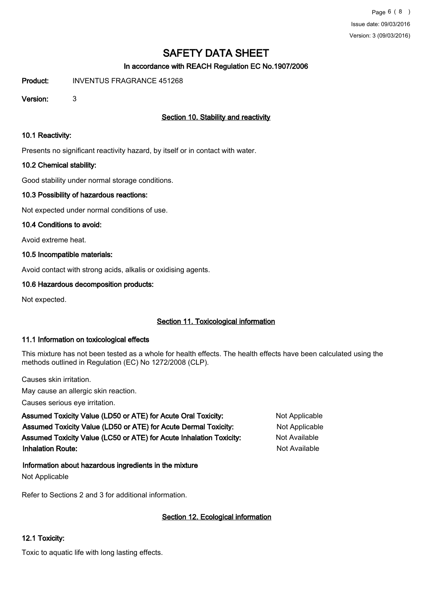# In accordance with REACH Regulation EC No.1907/2006

Product: INVENTUS FRAGRANCE 451268

Version: 3

# Section 10. Stability and reactivity

#### 10.1 Reactivity:

Presents no significant reactivity hazard, by itself or in contact with water.

#### 10.2 Chemical stability:

Good stability under normal storage conditions.

#### 10.3 Possibility of hazardous reactions:

Not expected under normal conditions of use.

#### 10.4 Conditions to avoid:

Avoid extreme heat.

## 10.5 Incompatible materials:

Avoid contact with strong acids, alkalis or oxidising agents.

#### 10.6 Hazardous decomposition products:

Not expected.

# Section 11. Toxicological information

## 11.1 Information on toxicological effects

This mixture has not been tested as a whole for health effects. The health effects have been calculated using the methods outlined in Regulation (EC) No 1272/2008 (CLP).

Causes skin irritation.

May cause an allergic skin reaction.

Causes serious eye irritation.

Assumed Toxicity Value (LD50 or ATE) for Acute Oral Toxicity: Not Applicable Assumed Toxicity Value (LD50 or ATE) for Acute Dermal Toxicity: Not Applicable Assumed Toxicity Value (LC50 or ATE) for Acute Inhalation Toxicity: Not Available Inhalation Route: Not Available in the United States of the United States and Available in the United States of Available

## Information about hazardous ingredients in the mixture

Not Applicable

Refer to Sections 2 and 3 for additional information.

## Section 12. Ecological information

## 12.1 Toxicity:

Toxic to aquatic life with long lasting effects.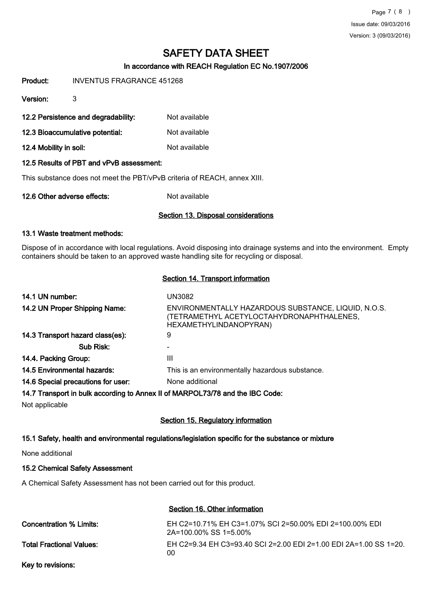Page 7 ( 8 ) Issue date: 09/03/2016 Version: 3 (09/03/2016)

# SAFETY DATA SHEET

# In accordance with REACH Regulation EC No.1907/2006

Product: INVENTUS FRAGRANCE 451268

Version: 3

- 12.2 Persistence and degradability: Not available
- 12.3 Bioaccumulative potential: Not available
- 12.4 Mobility in soil: Not available

#### 12.5 Results of PBT and vPvB assessment:

This substance does not meet the PBT/vPvB criteria of REACH, annex XIII.

12.6 Other adverse effects: Not available

#### Section 13. Disposal considerations

#### 13.1 Waste treatment methods:

Dispose of in accordance with local regulations. Avoid disposing into drainage systems and into the environment. Empty containers should be taken to an approved waste handling site for recycling or disposal.

#### Section 14. Transport information

| 14.1 UN number:                                                               | <b>UN3082</b>                                                                                                              |
|-------------------------------------------------------------------------------|----------------------------------------------------------------------------------------------------------------------------|
| 14.2 UN Proper Shipping Name:                                                 | ENVIRONMENTALLY HAZARDOUS SUBSTANCE, LIQUID, N.O.S.<br>(TETRAMETHYL ACETYLOCTAHYDRONAPHTHALENES,<br>HEXAMETHYLINDANOPYRAN) |
| 14.3 Transport hazard class(es):                                              | 9                                                                                                                          |
| Sub Risk:                                                                     |                                                                                                                            |
| 14.4. Packing Group:                                                          | Ш                                                                                                                          |
| 14.5 Environmental hazards:                                                   | This is an environmentally hazardous substance.                                                                            |
| 14.6 Special precautions for user:                                            | None additional                                                                                                            |
| 14.7 Transport in bulk according to Annex II of MARPOL73/78 and the IBC Code: |                                                                                                                            |
| Not applicable                                                                |                                                                                                                            |

## Section 15. Regulatory information

## 15.1 Safety, health and environmental regulations/legislation specific for the substance or mixture

None additional

#### 15.2 Chemical Safety Assessment

A Chemical Safety Assessment has not been carried out for this product.

## Section 16. Other information

| Concentration % Limits:         | EH C2=10.71% EH C3=1.07% SCI 2=50.00% EDI 2=100.00% EDI<br>2A=100.00% SS 1=5.00% |
|---------------------------------|----------------------------------------------------------------------------------|
| <b>Total Fractional Values:</b> | EH C2=9.34 EH C3=93.40 SCI 2=2.00 EDI 2=1.00 EDI 2A=1.00 SS 1=20.<br>ΩO          |
|                                 |                                                                                  |

Key to revisions: